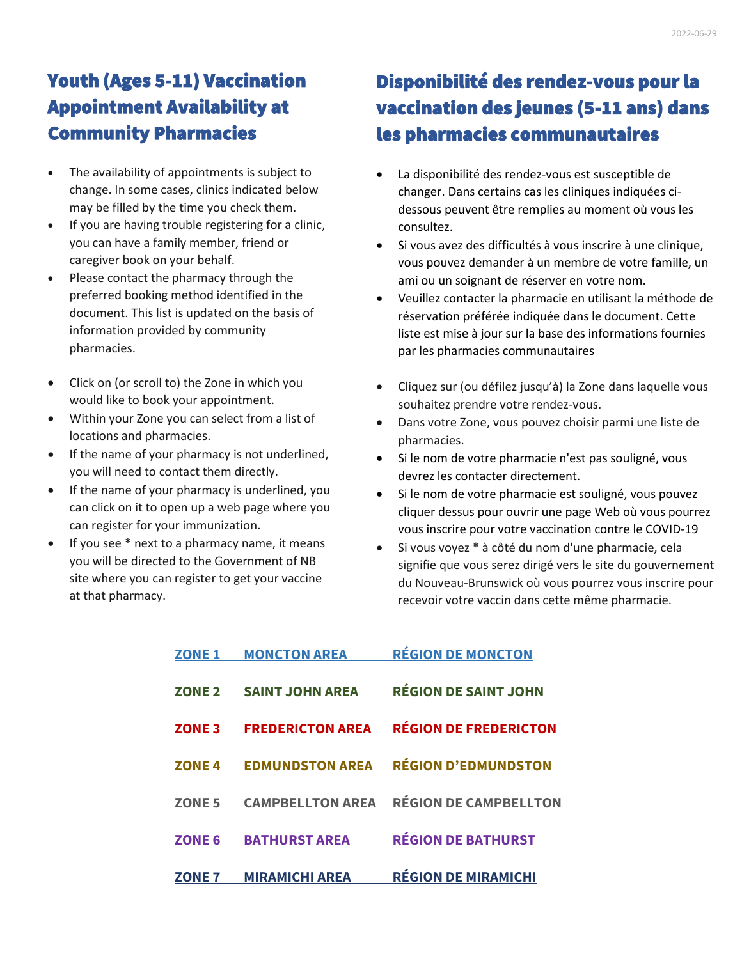# Youth (Ages 5-11) Vaccination Appointment Availability at Community Pharmacies

- The availability of appointments is subject to change. In some cases, clinics indicated below may be filled by the time you check them.
- If you are having trouble registering for a clinic, you can have a family member, friend or caregiver book on your behalf.
- Please contact the pharmacy through the preferred booking method identified in the document. This list is updated on the basis of information provided by community pharmacies.
- Click on (or scroll to) the Zone in which you would like to book your appointment.
- Within your Zone you can select from a list of locations and pharmacies.
- If the name of your pharmacy is not underlined, you will need to contact them directly.
- If the name of your pharmacy is underlined, you can click on it to open up a web page where you can register for your immunization.
- If you see  $*$  next to a pharmacy name, it means you will be directed to the Government of NB site where you can register to get your vaccine at that pharmacy.

# Disponibilité des rendez-vous pour la vaccination des jeunes (5-11 ans) dans les pharmacies communautaires

- La disponibilité des rendez-vous est susceptible de changer. Dans certains cas les cliniques indiquées cidessous peuvent être remplies au moment où vous les consultez.
- Si vous avez des difficultés à vous inscrire à une clinique, vous pouvez demander à un membre de votre famille, un ami ou un soignant de réserver en votre nom.
- Veuillez contacter la pharmacie en utilisant la méthode de réservation préférée indiquée dans le document. Cette liste est mise à jour sur la base des informations fournies par les pharmacies communautaires
- Cliquez sur (ou défilez jusqu'à) la Zone dans laquelle vous souhaitez prendre votre rendez-vous.
- Dans votre Zone, vous pouvez choisir parmi une liste de pharmacies.
- Si le nom de votre pharmacie n'est pas souligné, vous devrez les contacter directement.
- Si le nom de votre pharmacie est souligné, vous pouvez cliquer dessus pour ouvrir une page Web où vous pourrez vous inscrire pour votre vaccination contre le COVID-19
- Si vous voyez \* à côté du nom d'une pharmacie, cela signifie que vous serez dirigé vers le site du gouvernement du Nouveau-Brunswick où vous pourrez vous inscrire pour recevoir votre vaccin dans cette même pharmacie.

| <b>ZONE 1</b> | <b>MONCTON AREA</b>     | <b>RÉGION DE MONCTON</b>     |
|---------------|-------------------------|------------------------------|
| <b>ZONE 2</b> | <b>SAINT JOHN AREA</b>  | <b>RÉGION DE SAINT JOHN</b>  |
| <b>ZONE 3</b> | <b>FREDERICTON AREA</b> | <b>RÉGION DE FREDERICTON</b> |
| <b>ZONE4</b>  | <b>EDMUNDSTON AREA</b>  | <b>RÉGION D'EDMUNDSTON</b>   |
| <b>ZONE 5</b> | <b>CAMPBELLTON AREA</b> | <b>RÉGION DE CAMPBELLTON</b> |
| <b>ZONE 6</b> | <b>BATHURST AREA</b>    | <b>RÉGION DE BATHURST</b>    |
| <b>ZONE 7</b> | <b>MIRAMICHI AREA</b>   | <b>RÉGION DE MIRAMICHI</b>   |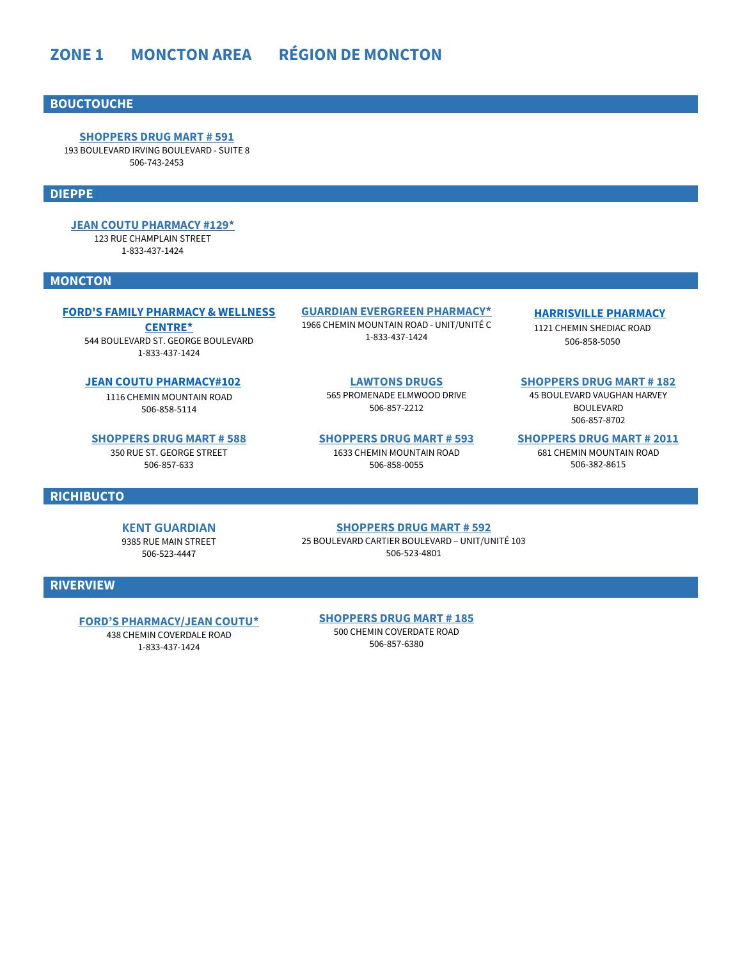# <span id="page-1-0"></span>**[ZONE 1 MONCTON AREA](#page-1-0) RÉGION DE MONCTON**

### **BOUCTOUCHE**

**[SHOPPERS DRUG MART # 591](https://covid-19.shoppersdrugmart.ca/)** 193 BOULEVARD IRVING BOULEVARD - SUITE 8 506-743-2453

#### **DIEPPE**

**[JEAN COUTU PHARMACY #129\\*](https://pharmacyvnb.ableassess.com/vnb/Register)** 123 RUE CHAMPLAIN STREET 1-833-437-1424

#### **MONCTON**

#### **[FORD'S FAMILY PHARMACY & WELLNESS](https://pharmacyvnb.ableassess.com/vnb/Register)**

**[CENTRE\\*](https://pharmacyvnb.ableassess.com/vnb/Register)** 544 BOULEVARD ST. GEORGE BOULEVARD 1-833-437-1424

**[JEAN COUTU PHARMACY#102](https://www.jeancoutu.com/sante/coronavirus-covid-19/)**

1116 CHEMIN MOUNTAIN ROAD 506-858-5114

**[SHOPPERS DRUG MART # 588](https://covid-19.shoppersdrugmart.ca/)** 350 RUE ST. GEORGE STREET 506-857-633

**RICHIBUCTO**

**KENT GUARDIAN** 9385 RUE MAIN STREET

506-523-4447

**[GUARDIAN EVERGREEN PHARMACY\\*](https://pharmacyvnb.ableassess.com/vnb/Register)** 1966 CHEMIN MOUNTAIN ROAD - UNIT/UNITÉ C 1-833-437-1424

#### **[HARRISVILLE PHARMACY](https://harrisvillepharmacy.medmeapp.ca/schedule)**

1121 CHEMIN SHEDIAC ROAD 506-858-5050

**[LAWTONS DRUGS](https://www.pharmacyappointments.ca/)** 565 PROMENADE ELMWOOD DRIVE 506-857-2212

**[SHOPPERS DRUG MART # 593](https://covid-19.shoppersdrugmart.ca/)** 1633 CHEMIN MOUNTAIN ROAD 506-858-0055

**[SHOPPERS DRUG MART # 182](https://covid-19.shoppersdrugmart.ca/)** 45 BOULEVARD VAUGHAN HARVEY

BOULEVARD 506-857-8702

**[SHOPPERS DRUG MART # 2011](https://covid-19.shoppersdrugmart.ca/)**

681 CHEMIN MOUNTAIN ROAD 506-382-8615

#### **[SHOPPERS DRUG MART # 592](https://covid-19.shoppersdrugmart.ca/)**

25 BOULEVARD CARTIER BOULEVARD – UNIT/UNITÉ 103 506-523-4801

### **RIVERVIEW**

<span id="page-1-1"></span>**[FORD'S PHARMACY/JEAN COUTU](https://pharmacyvnb.ableassess.com/vnb/Register)\***

438 CHEMIN COVERDALE ROAD 1-833-437-1424

**[SHOPPERS DRUG MART # 185](https://covid-19.shoppersdrugmart.ca/)**

500 CHEMIN COVERDATE ROAD 506-857-6380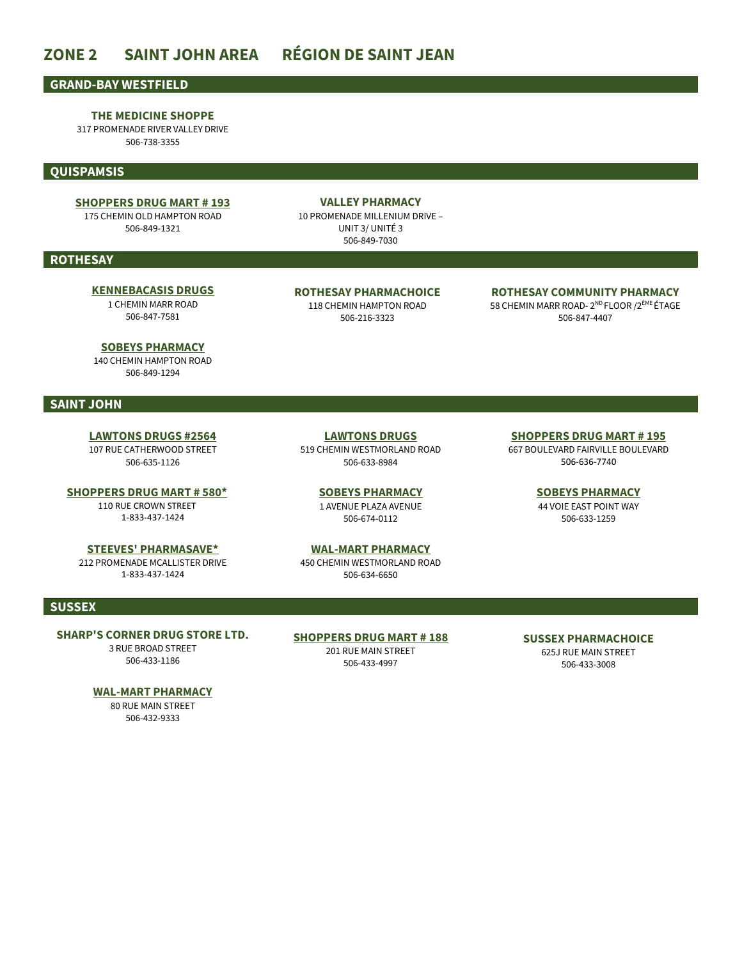# **ZONE 2 SAINT JOHN AREA RÉGION DE SAINT JEAN**

#### **GRAND-BAY WESTFIELD**

**THE MEDICINE SHOPPE** 317 PROMENADE RIVER VALLEY DRIVE

506-738-3355

#### **QUISPAMSIS**

#### **[SHOPPERS DRUG MART # 193](https://www1.shoppersdrugmart.ca/en/health-and-pharmacy/covid-19)**

175 CHEMIN OLD HAMPTON ROAD 506-849-1321

**VALLEY PHARMACY** 10 PROMENADE MILLENIUM DRIVE – UNIT 3/ UNITÉ 3 506-849-7030

#### **ROTHESAY**

#### **[KENNEBACASIS DRUGS](https://kvdrugs.com/)** 1 CHEMIN MARR ROAD 506-847-7581

**ROTHESAY PHARMACHOICE** 118 CHEMIN HAMPTON ROAD 506-216-3323

#### **ROTHESAY COMMUNITY PHARMACY**  58 CHEMIN MARR ROAD- 2<sup>ND</sup> FLOOR /2<sup>ÈME</sup> ÉTAGE

506-847-4407

**[SHOPPERS DRUG MART # 195](https://covid-19.shoppersdrugmart.ca/en)** 667 BOULEVARD FAIRVILLE BOULEVARD 506-636-7740

> **[SOBEYS PHARMACY](https://www.pharmacyappointments.ca/)** 44 VOIE EAST POINT WAY 506-633-1259

**[SOBEYS PHARMACY](https://www.pharmacyappointments.ca/)** 140 CHEMIN HAMPTON ROAD 506-849-1294

#### **SAINT JOHN**

**[LAWTONS DRUGS #2564](https://www.pharmacyappointments.ca/)** 107 RUE CATHERWOOD STREET 506-635-1126

**[SHOPPERS DRUG MART # 580\\*](https://pharmacyvnb.ableassess.com/vnb/Register)** 110 RUE CROWN STREET 1-833-437-1424

**[STEEVES' PHARMASAVE\\*](https://pharmacyvnb.ableassess.com/vnb/Register)** 212 PROMENADE MCALLISTER DRIVE 1-833-437-1424

**[LAWTONS DRUGS](https://www.pharmacyappointments.ca/)** 519 CHEMIN WESTMORLAND ROAD 506-633-8984

> **[SOBEYS PHARMACY](https://www.pharmacyappointments.ca/)** 1 AVENUE PLAZA AVENUE 506-674-0112

# **[WAL-MART PHARMACY](http://www.walmart.ca/cp/shop/covid-19-vaccinations-centre-info/6000203072273?icid=homepage_HP_Sliver_COVID19_Vaccine_WM)** 450 CHEMIN WESTMORLAND ROAD

506-634-6650

#### **SUSSEX**

**SHARP'S CORNER DRUG STORE LTD.** 3 RUE BROAD STREET

506-433-1186

#### **[SHOPPERS DRUG MART # 188](https://covid-19.shoppersdrugmart.ca/en)** 201 RUE MAIN STREET

506-433-4997

**SUSSEX PHARMACHOICE** 625J RUE MAIN STREET 506-433-3008

#### **[WAL-MART PHARMACY](https://www.walmart.ca/cp/shop/covid-19-vaccinations-centre-info/6000203072273?icid=homepage_HP_Sliver_COVID19_Vaccine_WM)** 80 RUE MAIN STREET

<span id="page-2-0"></span>506-432-9333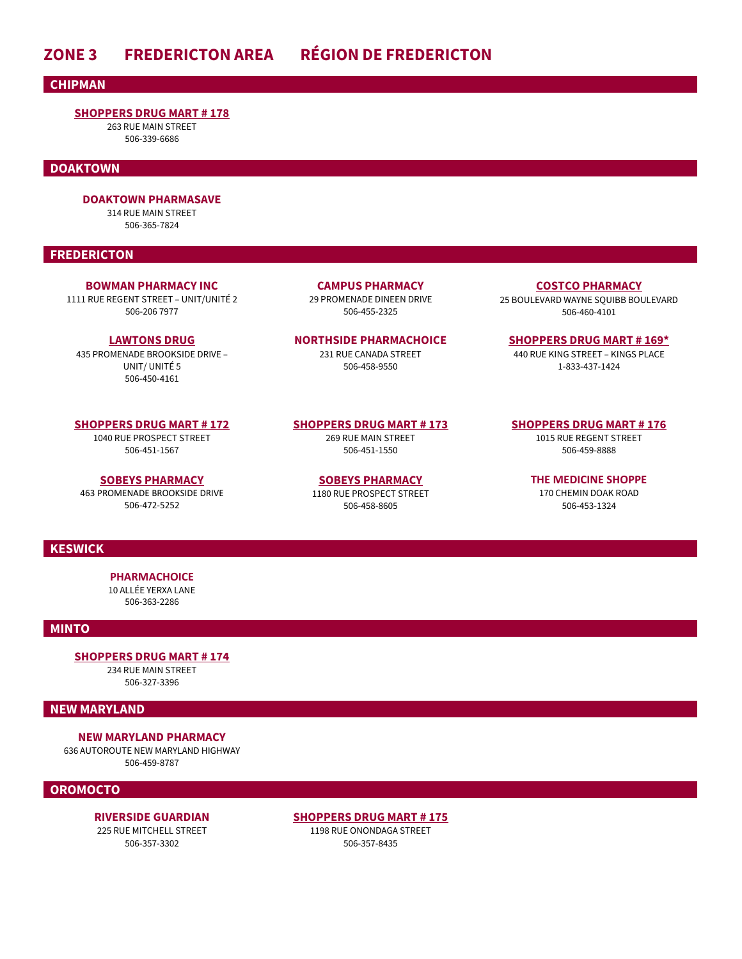# **ZONE 3 FREDERICTON AREA RÉGION DE FREDERICTON**

**CHIPMAN**

#### **[SHOPPERS DRUG MART # 178](https://covid-19.shoppersdrugmart.ca/)**

263 RUE MAIN STREET 506-339-6686

#### **DOAKTOWN**

#### **DOAKTOWN PHARMASAVE**

314 RUE MAIN STREET 506-365-7824

#### **FREDERICTON**

**[BOWMAN PHARMACY INC](https://www.pharmacyappointments.ca/)** 1111 RUE REGENT STREET – UNIT/UNITÉ 2 506-206 7977

**[LAWTONS DRUG](https://www.pharmacyappointments.ca/)** 435 PROMENADE BROOKSIDE DRIVE – UNIT/ UNITÉ 5 506-450-4161

**[SHOPPERS DRUG MART # 172](https://covid-19.shoppersdrugmart.ca/)**

1040 RUE PROSPECT STREET 506-451-1567

**[SOBEYS PHARMACY](https://www.pharmacyappointments.ca/)** 463 PROMENADE BROOKSIDE DRIVE 506-472-5252

**CAMPUS PHARMACY** 29 PROMENADE DINEEN DRIVE 506-455-2325

**NORTHSIDE PHARMACHOICE** 231 RUE CANADA STREET 506-458-9550

**[SHOPPERS DRUG MART # 173](https://covid-19.shoppersdrugmart.ca/)** 269 RUE MAIN STREET 506-451-1550

> **[SOBEYS PHARMACY](https://www.pharmacyappointments.ca/)** 1180 RUE PROSPECT STREET 506-458-8605

**[COSTCO PHARMACY](https://hsps.gnb.ca/sites/COVID19/MV/Documents/VNB%20Support%20Team/Pharmacy%20Lists/Costco%20Pharmacy)** 25 BOULEVARD WAYNE SQUIBB BOULEVARD 506-460-4101

**[SHOPPERS DRUG MART # 169\\*](https://pharmacyvnb.ableassess.com/vnb/Register)** 440 RUE KING STREET – KINGS PLACE 1-833-437-1424

### **[SHOPPERS DRUG MART # 176](https://covid-19.shoppersdrugmart.ca/)**

1015 RUE REGENT STREET 506-459-8888

**THE MEDICINE SHOPPE** 170 CHEMIN DOAK ROAD 506-453-1324

#### **KESWICK**

**PHARMACHOICE**  10 ALLÉE YERXA LANE 506-363-2286

#### **MINTO**

**[SHOPPERS DRUG MART # 174](https://covid-19.shoppersdrugmart.ca/)**

234 RUE MAIN STREET 506-327-3396

#### **NEW MARYLAND**

**NEW MARYLAND PHARMACY** 636 AUTOROUTE NEW MARYLAND HIGHWAY 506-459-8787

#### **OROMOCTO**

**RIVERSIDE GUARDIAN** 225 RUE MITCHELL STREET 506-357-3302

**[SHOPPERS DRUG MART # 175](https://covid-19.shoppersdrugmart.ca/)** 1198 RUE ONONDAGA STREET 506-357-8435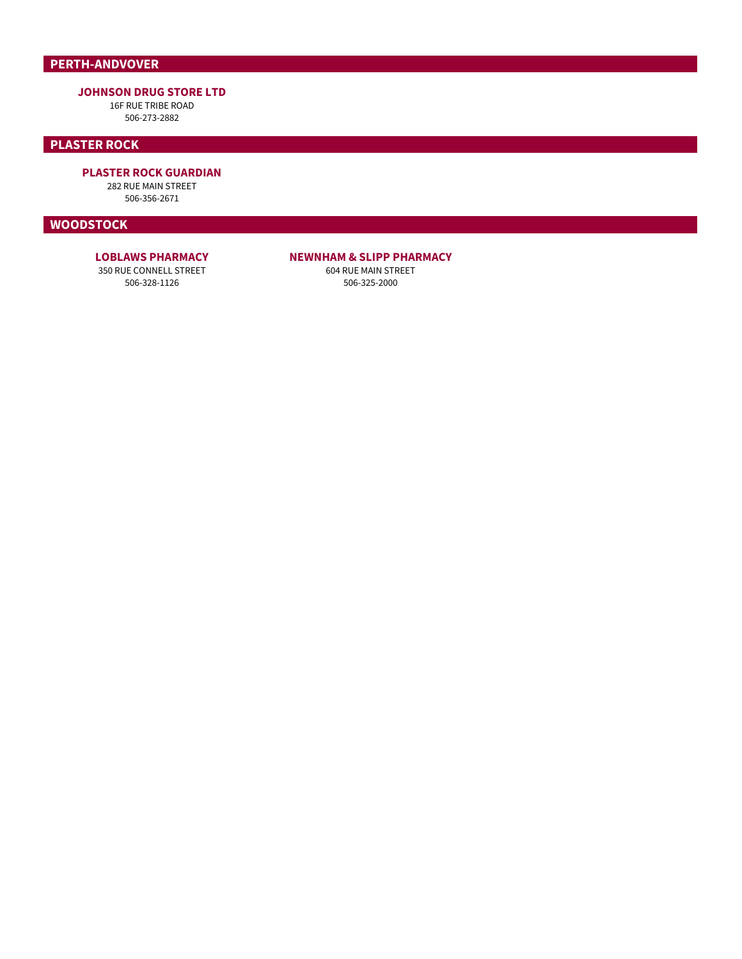# **PERTH-ANDVOVER**

#### **JOHNSON DRUG STORE LTD**

16F RUE TRIBE ROAD 506-273-2882

### **PLASTER ROCK**

**PLASTER ROCK GUARDIAN**

282 RUE MAIN STREET 506-356-2671

#### **WOODSTOCK**

### **LOBLAWS PHARMACY**

<span id="page-4-0"></span>350 RUE CONNELL STREET 506-328-1126

#### **NEWNHAM & SLIPP PHARMACY**

604 RUE MAIN STREET 506-325-2000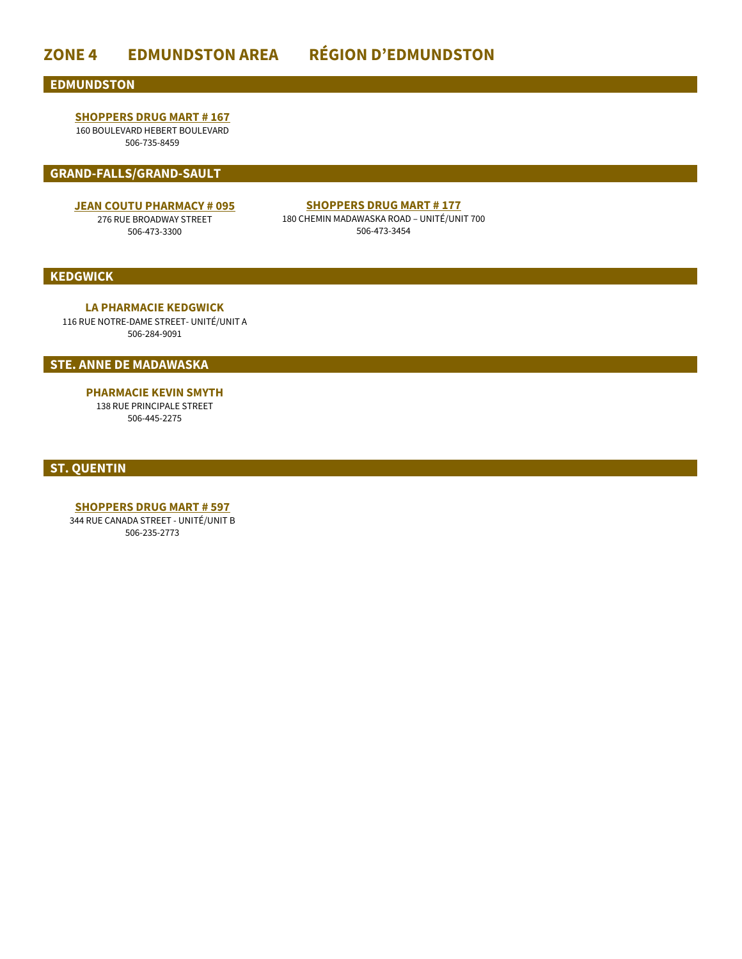# **ZONE 4 EDMUNDSTON AREA RÉGION D'EDMUNDSTON**

#### **EDMUNDSTON**

## **[SHOPPERS DRUG MART # 167](https://covid-19.shoppersdrugmart.ca/)**

160 BOULEVARD HEBERT BOULEVARD 506-735-8459

#### **GRAND-FALLS/GRAND-SAULT**

#### **[JEAN COUTU PHARMACY # 095](https://www.jeancoutu.com/sante/coronavirus-covid-19/)**

276 RUE BROADWAY STREET 506-473-3300

### **[SHOPPERS DRUG MART # 177](https://covid-19.shoppersdrugmart.ca/)**

180 CHEMIN MADAWASKA ROAD – UNITÉ/UNIT 700 506-473-3454

#### **KEDGWICK**

**LA PHARMACIE KEDGWICK** 116 RUE NOTRE-DAME STREET- UNITÉ/UNIT A 506-284-9091

**STE. ANNE DE MADAWASKA**

**PHARMACIE KEVIN SMYTH** 138 RUE PRINCIPALE STREET 506-445-2275

<span id="page-5-0"></span>**ST. QUENTIN** 

**[SHOPPERS DRUG MART # 597](https://covid-19.shoppersdrugmart.ca/)** 344 RUE CANADA STREET - UNITÉ/UNIT B

506-235-2773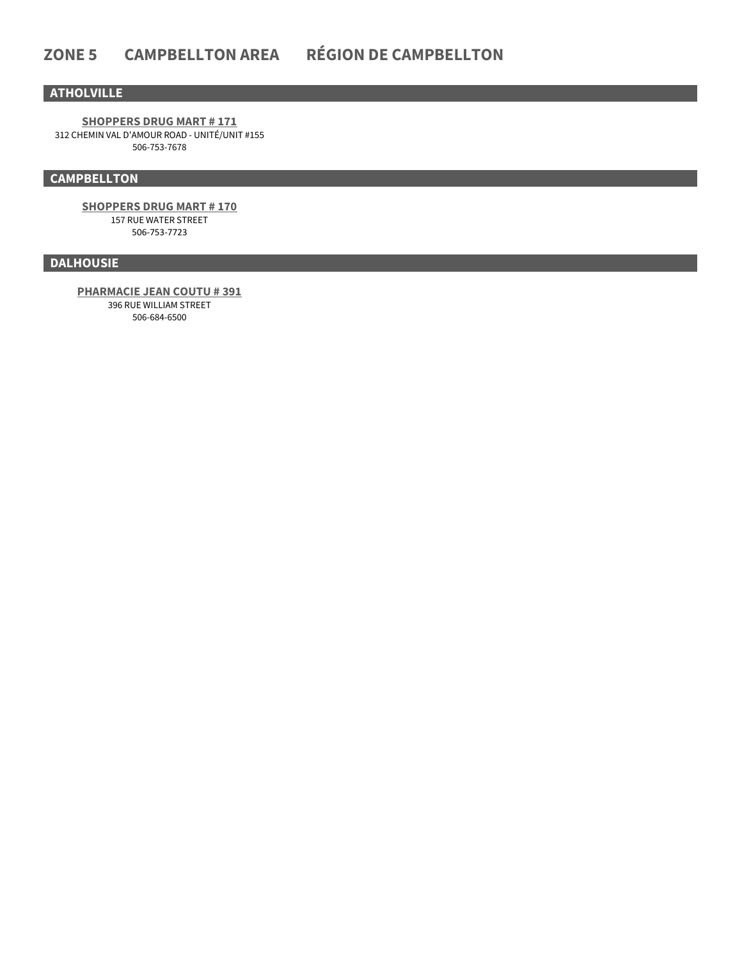### **ATHOLVILLE**

**[SHOPPERS DRUG MART # 171](https://covid-19.shoppersdrugmart.ca/)** 312 CHEMIN VAL D'AMOUR ROAD - UNITÉ/UNIT #155 506-753-7678

### **CAMPBELLTON**

**[SHOPPERS DRUG MART # 170](https://covid-19.shoppersdrugmart.ca/)** 157 RUE WATER STREET 506-753-7723

### **DALHOUSIE**

**[PHARMACIE JEAN COUTU # 391](https://www.jeancoutu.com/sante/coronavirus-covid-19/)**

<span id="page-6-0"></span>396 RUE WILLIAM STREET 506-684-6500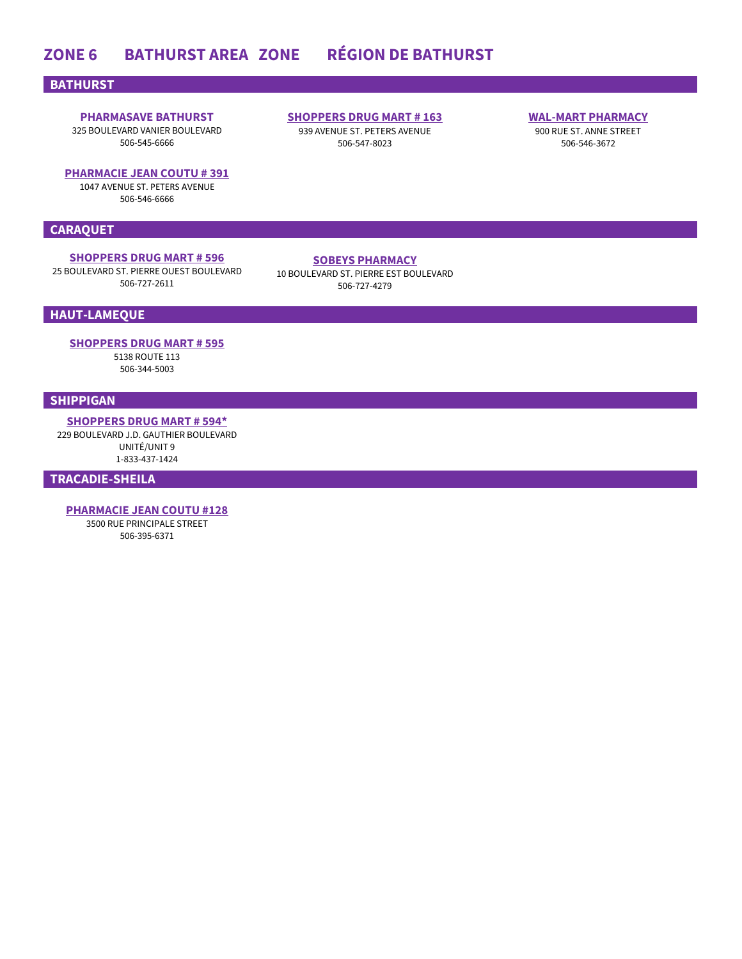# **ZONE 6 BATHURST AREA ZONE RÉGION DE BATHURST**

#### **BATHURST**

# **PHARMASAVE BATHURST**

325 BOULEVARD VANIER BOULEVARD 506-545-6666

#### **[PHARMACIE JEAN COUTU # 391](https://www.jeancoutu.com/sante/coronavirus-covid-19/)**

1047 AVENUE ST. PETERS AVENUE 506-546-6666

#### **CARAQUET**

### **[SHOPPERS DRUG MART # 596](https://covid-19.shoppersdrugmart.ca/)**

25 BOULEVARD ST. PIERRE OUEST BOULEVARD 506-727-2611

**[SHOPPERS DRUG MART # 163](https://www1.shoppersdrugmart.ca/en/health-and-pharmacy/covid-19)** 939 AVENUE ST. PETERS AVENUE 506-547-8023

#### **[WAL-MART PHARMACY](https://www.walmart.ca/cp/shop/covid-19-vaccinations-centre-info/6000203072273?icid=homepage_HP_Sliver_COVID19_Vaccine_WM)**

900 RUE ST. ANNE STREET 506-546-3672

#### **[SOBEYS PHARMACY](https://www.pharmacyappointments.ca/)**

10 BOULEVARD ST. PIERRE EST BOULEVARD 506-727-4279

### **HAUT-LAMEQUE**

**[SHOPPERS DRUG MART # 595](https://covid-19.shoppersdrugmart.ca/)**

5138 ROUTE 113 506-344-5003

### **SHIPPIGAN**

**[SHOPPERS DRUG MART # 594\\*](https://pharmacyvnb.ableassess.com/vnb/Register)** 229 BOULEVARD J.D. GAUTHIER BOULEVARD

> UNITÉ/UNIT 9 1-833-437-1424

**TRACADIE-SHEILA**

<span id="page-7-0"></span>**[PHARMACIE JEAN COUTU #128](https://www.jeancoutu.com/sante/coronavirus-covid-19/)** 3500 RUE PRINCIPALE STREET 506-395-6371